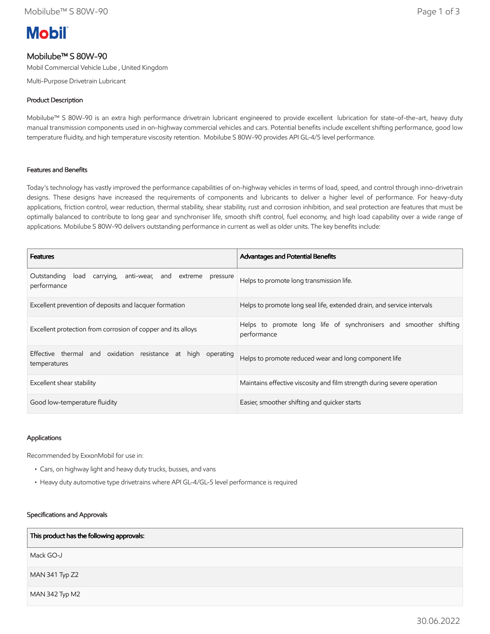# **Mobil**

# Mobilube™ S 80W-90

Mobil Commercial Vehicle Lube , United Kingdom

Multi-Purpose Drivetrain Lubricant

## Product Description

Mobilube™ S 80W-90 is an extra high performance drivetrain lubricant engineered to provide excellent lubrication for state-of-the-art, heavy duty manual transmission components used in on-highway commercial vehicles and cars. Potential benefits include excellent shifting performance, good low temperature fluidity, and high temperature viscosity retention. Mobilube S 80W-90 provides API GL-4/5 level performance.

#### Features and Benefits

Today's technology has vastly improved the performance capabilities of on-highway vehicles in terms of load, speed, and control through inno-drivetrain designs. These designs have increased the requirements of components and lubricants to deliver a higher level of performance. For heavy-duty applications, friction control, wear reduction, thermal stability, shear stability, rust and corrosion inhibition, and seal protection are features that must be optimally balanced to contribute to long gear and synchroniser life, smooth shift control, fuel economy, and high load capability over a wide range of applications. Mobilube S 80W-90 delivers outstanding performance in current as well as older units. The key benefits include:

| <b>Features</b>                                                                       | Advantages and Potential Benefits                                                |  |
|---------------------------------------------------------------------------------------|----------------------------------------------------------------------------------|--|
| Outstanding<br>carrying,<br>anti-wear, and extreme<br>load<br>pressure<br>performance | Helps to promote long transmission life.                                         |  |
| Excellent prevention of deposits and lacquer formation                                | Helps to promote long seal life, extended drain, and service intervals           |  |
| Excellent protection from corrosion of copper and its alloys                          | Helps to promote long life of synchronisers and smoother shifting<br>performance |  |
| Effective thermal and oxidation resistance at high<br>operating<br>temperatures       | Helps to promote reduced wear and long component life                            |  |
| Excellent shear stability                                                             | Maintains effective viscosity and film strength during severe operation          |  |
| Good low-temperature fluidity                                                         | Easier, smoother shifting and quicker starts                                     |  |

#### Applications

Recommended by ExxonMobil for use in:

- Cars, on highway light and heavy duty trucks, busses, and vans
- Heavy duty automotive type drivetrains where API GL-4/GL-5 level performance is required

#### Specifications and Approvals

| This product has the following approvals: |
|-------------------------------------------|
| Mack GO-J                                 |
| MAN 341 Typ Z2                            |
| MAN 342 Typ M2                            |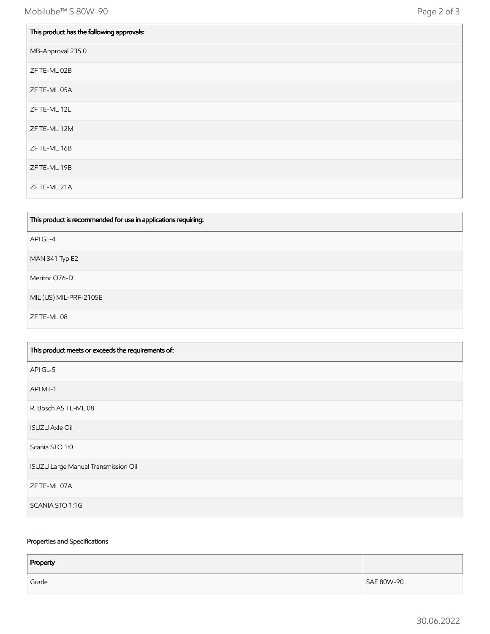| This product has the following approvals: |
|-------------------------------------------|
| MB-Approval 235.0                         |
| ZF TE-ML 02B                              |
| ZF TE-ML 05A                              |
| ZF TE-ML 12L                              |
| ZF TE-ML 12M                              |
| ZF TE-ML 16B                              |
| ZF TE-ML 19B                              |
| ZF TE-ML 21A                              |

| This product is recommended for use in applications requiring: |
|----------------------------------------------------------------|
| API GL-4                                                       |
| MAN 341 Typ E2                                                 |
| Meritor O76-D                                                  |
| MIL (US) MIL-PRF-2105E                                         |
| ZF TE-ML 08                                                    |

| This product meets or exceeds the requirements of: |
|----------------------------------------------------|
| API GL-5                                           |
| API MT-1                                           |
| R. Bosch AS TE-ML 08                               |
| <b>ISUZU Axle Oil</b>                              |
| Scania STO 1:0                                     |
| ISUZU Large Manual Transmission Oil                |
| ZF TE-ML 07A                                       |
| SCANIA STO 1:1G                                    |

### Properties and Specifications

| Property |            |
|----------|------------|
| Grade    | SAE 80W-90 |